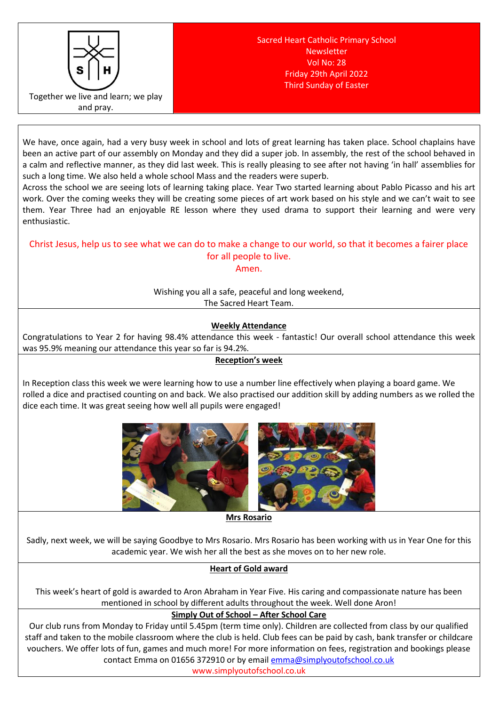

We have, once again, had a very busy week in school and lots of great learning has taken place. School chaplains have been an active part of our assembly on Monday and they did a super job. In assembly, the rest of the school behaved in a calm and reflective manner, as they did last week. This is really pleasing to see after not having 'in hall' assemblies for such a long time. We also held a whole school Mass and the readers were superb.

Across the school we are seeing lots of learning taking place. Year Two started learning about Pablo Picasso and his art work. Over the coming weeks they will be creating some pieces of art work based on his style and we can't wait to see them. Year Three had an enjoyable RE lesson where they used drama to support their learning and were very enthusiastic.

# Christ Jesus, help us to see what we can do to make a change to our world, so that it becomes a fairer place for all people to live.

### Amen.

Wishing you all a safe, peaceful and long weekend, The Sacred Heart Team.

## **Weekly Attendance**

Congratulations to Year 2 for having 98.4% attendance this week - fantastic! Our overall school attendance this week was 95.9% meaning our attendance this year so far is 94.2%.

### **Reception's week**

In Reception class this week we were learning how to use a number line effectively when playing a board game. We rolled a dice and practised counting on and back. We also practised our addition skill by adding numbers as we rolled the dice each time. It was great seeing how well all pupils were engaged!



**Mrs Rosario**

Sadly, next week, we will be saying Goodbye to Mrs Rosario. Mrs Rosario has been working with us in Year One for this academic year. We wish her all the best as she moves on to her new role.

## **Heart of Gold award**

This week's heart of gold is awarded to Aron Abraham in Year Five. His caring and compassionate nature has been mentioned in school by different adults throughout the week. Well done Aron!

### **Simply Out of School – After School Care**

Our club runs from Monday to Friday until 5.45pm (term time only). Children are collected from class by our qualified staff and taken to the mobile classroom where the club is held. Club fees can be paid by cash, bank transfer or childcare vouchers. We offer lots of fun, games and much more! For more information on fees, registration and bookings please contact Emma on 01656 372910 or by email [emma@simplyoutofschool.co.uk](mailto:emma@simplyoutofschool.co.uk)

www.simplyoutofschool.co.uk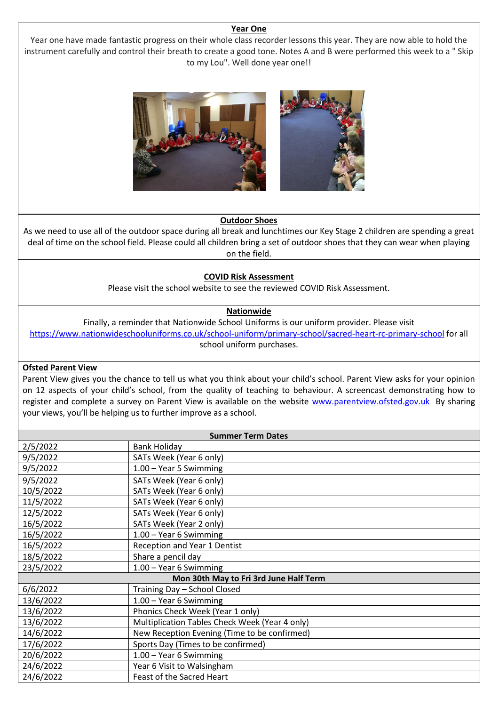#### **Year One**

Year one have made fantastic progress on their whole class recorder lessons this year. They are now able to hold the instrument carefully and control their breath to create a good tone. Notes A and B were performed this week to a " Skip to my Lou". Well done year one!!



#### **Outdoor Shoes**

As we need to use all of the outdoor space during all break and lunchtimes our Key Stage 2 children are spending a great deal of time on the school field. Please could all children bring a set of outdoor shoes that they can wear when playing on the field.

#### **COVID Risk Assessment**

Please visit the school website to see the reviewed COVID Risk Assessment.

### **Nationwide**

Finally, a reminder that Nationwide School Uniforms is our uniform provider. Please visit <https://www.nationwideschooluniforms.co.uk/school-uniform/primary-school/sacred-heart-rc-primary-school> for all school uniform purchases.

### **Ofsted Parent View**

Parent View gives you the chance to tell us what you think about your child's school. Parent View asks for your opinion on 12 aspects of your child's school, from the quality of teaching to behaviour. A screencast demonstrating how to register and complete a survey on Parent View is available on the website [www.parentview.ofsted.gov.uk](http://www.parentview.ofsted.gov.uk/) By sharing your views, you'll be helping us to further improve as a school.

| <b>Summer Term Dates</b>               |                                                |
|----------------------------------------|------------------------------------------------|
| 2/5/2022                               | <b>Bank Holiday</b>                            |
| 9/5/2022                               | SATs Week (Year 6 only)                        |
| 9/5/2022                               | 1.00 - Year 5 Swimming                         |
| 9/5/2022                               | SATs Week (Year 6 only)                        |
| 10/5/2022                              | SATs Week (Year 6 only)                        |
| 11/5/2022                              | SATs Week (Year 6 only)                        |
| 12/5/2022                              | SATs Week (Year 6 only)                        |
| 16/5/2022                              | SATs Week (Year 2 only)                        |
| 16/5/2022                              | 1.00 - Year 6 Swimming                         |
| 16/5/2022                              | Reception and Year 1 Dentist                   |
| 18/5/2022                              | Share a pencil day                             |
| 23/5/2022                              | 1.00 - Year 6 Swimming                         |
| Mon 30th May to Fri 3rd June Half Term |                                                |
| 6/6/2022                               | Training Day - School Closed                   |
| 13/6/2022                              | 1.00 - Year 6 Swimming                         |
| 13/6/2022                              | Phonics Check Week (Year 1 only)               |
| 13/6/2022                              | Multiplication Tables Check Week (Year 4 only) |
| 14/6/2022                              | New Reception Evening (Time to be confirmed)   |
| 17/6/2022                              | Sports Day (Times to be confirmed)             |
| 20/6/2022                              | 1.00 - Year 6 Swimming                         |
| 24/6/2022                              | Year 6 Visit to Walsingham                     |
| 24/6/2022                              | Feast of the Sacred Heart                      |